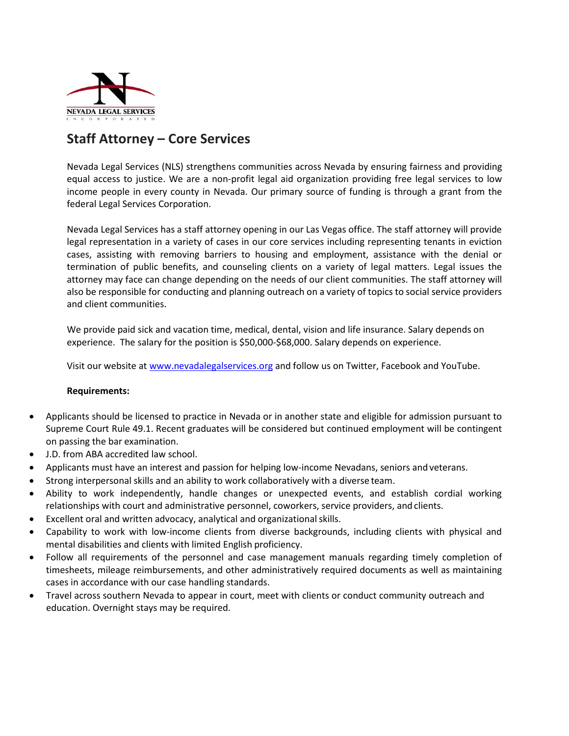

## **Staff Attorney – Core Services**

Nevada Legal Services (NLS) strengthens communities across Nevada by ensuring fairness and providing equal access to justice. We are a non-profit legal aid organization providing free legal services to low income people in every county in Nevada. Our primary source of funding is through a grant from the federal Legal Services Corporation.

Nevada Legal Services has a staff attorney opening in our Las Vegas office. The staff attorney will provide legal representation in a variety of cases in our core services including representing tenants in eviction cases, assisting with removing barriers to housing and employment, assistance with the denial or termination of public benefits, and counseling clients on a variety of legal matters. Legal issues the attorney may face can change depending on the needs of our client communities. The staff attorney will also be responsible for conducting and planning outreach on a variety of topics to social service providers and client communities.

We provide paid sick and vacation time, medical, dental, vision and life insurance. Salary depends on experience. The salary for the position is \$50,000-\$68,000. Salary depends on experience.

Visit our website a[t www.nevadalegalservices.org](http://www.nevadalegalservices.org/) and follow us on Twitter, Facebook and YouTube.

## **Requirements:**

- Applicants should be licensed to practice in Nevada or in another state and eligible for admission pursuant to Supreme Court Rule 49.1. Recent graduates will be considered but continued employment will be contingent on passing the bar examination.
- J.D. from ABA accredited law school.
- Applicants must have an interest and passion for helping low-income Nevadans, seniors andveterans.
- Strong interpersonal skills and an ability to work collaboratively with a diverse team.
- Ability to work independently, handle changes or unexpected events, and establish cordial working relationships with court and administrative personnel, coworkers, service providers, and clients.
- Excellent oral and written advocacy, analytical and organizational skills.
- Capability to work with low-income clients from diverse backgrounds, including clients with physical and mental disabilities and clients with limited English proficiency.
- Follow all requirements of the personnel and case management manuals regarding timely completion of timesheets, mileage reimbursements, and other administratively required documents as well as maintaining cases in accordance with our case handling standards.
- Travel across southern Nevada to appear in court, meet with clients or conduct community outreach and education. Overnight stays may be required.